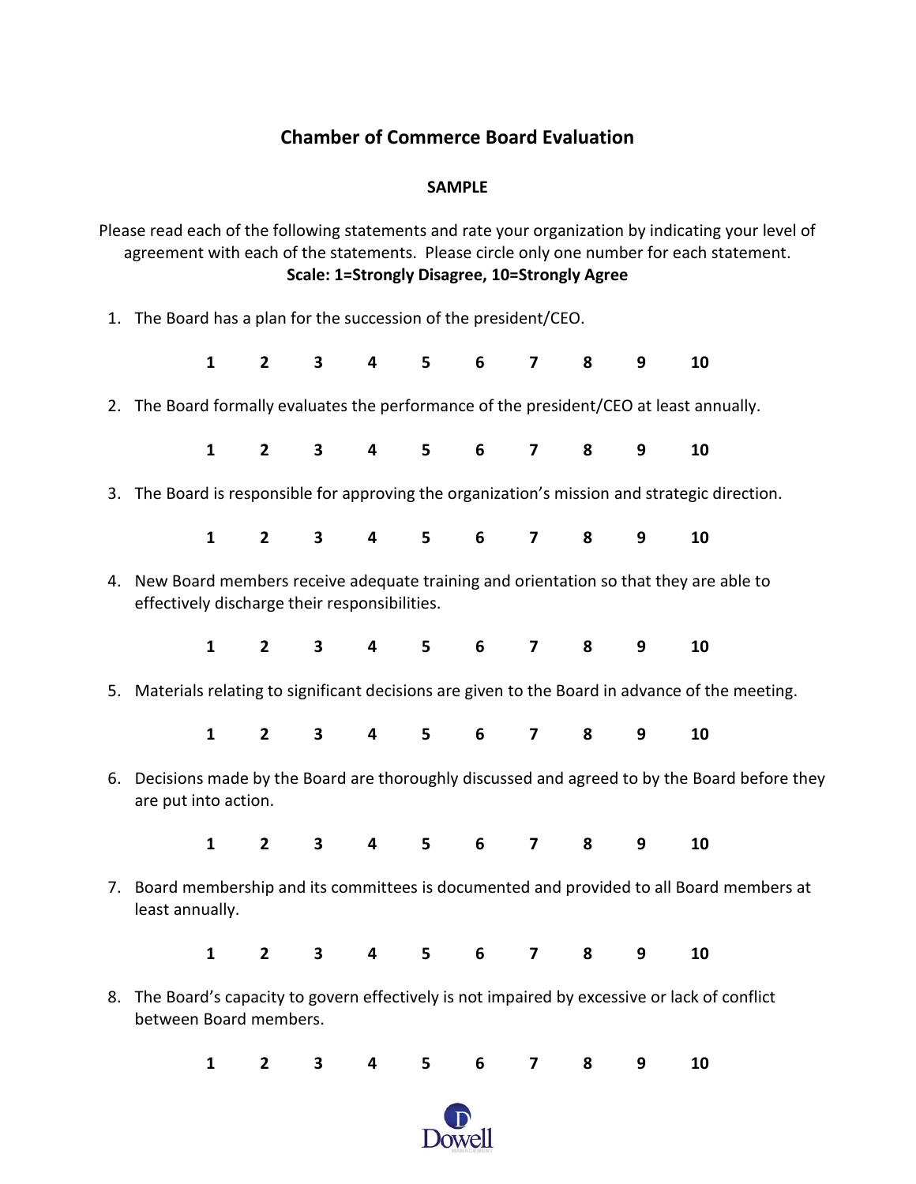## **Chamber of Commerce Board Evaluation**

## **SAMPLE**

Please read each of the following statements and rate your organization by indicating your level of agreement with each of the statements. Please circle only one number for each statement. **Scale: 1=Strongly Disagree, 10=Strongly Agree** 1. The Board has a plan for the succession of the president/CEO. **1 2 3 4 5 6 7 8 9 10**

2. The Board formally evaluates the performance of the president/CEO at least annually.

| 1 2 3 4 5 6 7 8 9 10 |  |  |  |  |  |  |  |  |  |  |
|----------------------|--|--|--|--|--|--|--|--|--|--|
|----------------------|--|--|--|--|--|--|--|--|--|--|

3. The Board is responsible for approving the organization's mission and strategic direction.

|  |  | 1 2 3 4 5 6 7 8 9 10 |  |  |
|--|--|----------------------|--|--|
|  |  |                      |  |  |

- 4. New Board members receive adequate training and orientation so that they are able to effectively discharge their responsibilities.
	- **1 2 3 4 5 6 7 8 9 10**
- 5. Materials relating to significant decisions are given to the Board in advance of the meeting.
	- **1 2 3 4 5 6 7 8 9 10**
- 6. Decisions made by the Board are thoroughly discussed and agreed to by the Board before they are put into action.

|  |  | 1 2 3 4 5 6 7 8 9 10 |  |  |  |
|--|--|----------------------|--|--|--|
|  |  |                      |  |  |  |

7. Board membership and its committees is documented and provided to all Board members at least annually.

|  |  | 1 2 3 4 5 6 7 8 9 10 |  |  |  |
|--|--|----------------------|--|--|--|
|  |  |                      |  |  |  |

8. The Board's capacity to govern effectively is not impaired by excessive or lack of conflict between Board members.

|  |  | 1 2 3 4 5 6 7 8 9 10 |  |  |  |
|--|--|----------------------|--|--|--|
|  |  |                      |  |  |  |